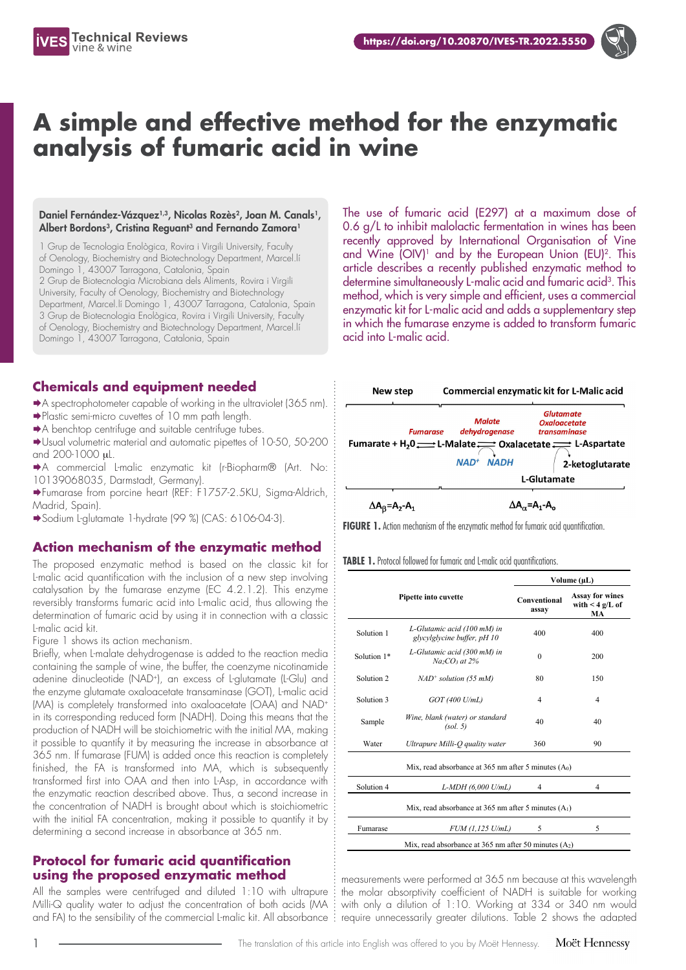

# **A simple and effective method for the enzymatic analysis of fumaric acid in wine**

#### Daniel Fernández-Vázquez<sup>1,3</sup>, Nicolas Rozès<sup>2</sup>, Joan M. Canals<sup>1</sup>, Albert Bordons<sup>3</sup>, Cristina Reguant<sup>3</sup> and Fernando Zamora<sup>1</sup>

1 Grup de Tecnologia Enològica, Rovira i Virgili University, Faculty of Oenology, Biochemistry and Biotechnology Department, Marcel.lí Domingo 1, 43007 Tarragona, Catalonia, Spain 2 Grup de Biotecnologia Microbiana dels Aliments, Rovira i Virgili University, Faculty of Oenology, Biochemistry and Biotechnology Department, Marcel.lí Domingo 1, 43007 Tarragona, Catalonia, Spain 3 Grup de Biotecnologia Enològica, Rovira i Virgili University, Faculty of Oenology, Biochemistry and Biotechnology Department, Marcel.lí Domingo 1, 43007 Tarragona, Catalonia, Spain

# **Chemicals and equipment needed**

- A spectrophotometer capable of working in the ultraviolet (365 nm).
- Plastic semi-micro cuvettes of 10 mm path length.
- A benchtop centrifuge and suitable centrifuge tubes.
- Usual volumetric material and automatic pipettes of 10-50, 50-200 and 200-1000 mL.
- A commercial L-malic enzymatic kit (r-Biopharm® (Art. No: 10139068035, Darmstadt, Germany).
- Fumarase from porcine heart (REF: F1757-2.5KU, Sigma-Aldrich, Madrid, Spain).
- Sodium L-glutamate 1-hydrate (99 %) (CAS: 6106-04-3).

### **Action mechanism of the enzymatic method**

The proposed enzymatic method is based on the classic kit for L-malic acid quantification with the inclusion of a new step involving catalysation by the fumarase enzyme (EC 4.2.1.2). This enzyme reversibly transforms fumaric acid into L-malic acid, thus allowing the determination of fumaric acid by using it in connection with a classic L-malic acid kit.

Figure 1 shows its action mechanism.

Briefly, when L-malate dehydrogenase is added to the reaction media containing the sample of wine, the buffer, the coenzyme nicotinamide adenine dinucleotide (NAD+), an excess of L-glutamate (L-Glu) and the enzyme glutamate oxaloacetate transaminase (GOT), L-malic acid (MA) is completely transformed into oxaloacetate (OAA) and NAD+ in its corresponding reduced form (NADH). Doing this means that the production of NADH will be stoichiometric with the initial MA, making it possible to quantify it by measuring the increase in absorbance at 365 nm. If fumarase (FUM) is added once this reaction is completely finished, the FA is transformed into MA, which is subsequently transformed first into OAA and then into L-Asp, in accordance with the enzymatic reaction described above. Thus, a second increase in the concentration of NADH is brought about which is stoichiometric with the initial FA concentration, making it possible to quantify it by determining a second increase in absorbance at 365 nm.

#### **Protocol for fumaric acid quantification using the proposed enzymatic method**

All the samples were centrifuged and diluted 1:10 with ultrapure Milli-Q quality water to adjust the concentration of both acids (MA

The use of fumaric acid (E297) at a maximum dose of 0.6 g/L to inhibit malolactic fermentation in wines has been recently approved by International Organisation of Vine and Wine  $(OIV)^1$  and by the European Union  $(EU)^2$ . This article describes a recently published enzymatic method to determine simultaneously L-malic acid and fumaric acid<sup>3</sup>. This method, which is very simple and efficient, uses a commercial enzymatic kit for L-malic acid and adds a supplementary step in which the fumarase enzyme is added to transform fumaric acid into L-malic acid.



**FIGURE 1.** Action mechanism of the enzymatic method for fumaric acid quantification.

|  |  |  |  |  |  |  | <b>TABLE 1.</b> Protocol followed for fumaric and L-malic acid quantifications. |
|--|--|--|--|--|--|--|---------------------------------------------------------------------------------|
|--|--|--|--|--|--|--|---------------------------------------------------------------------------------|

|             |                                                            | Volume (µL)                  |                                                      |  |  |
|-------------|------------------------------------------------------------|------------------------------|------------------------------------------------------|--|--|
|             | Pipette into cuvette                                       | <b>Conventional</b><br>assay | <b>Assay for wines</b><br>with $\leq 4$ g/L of<br>MA |  |  |
| Solution 1  | L-Glutamic acid (100 mM) in<br>glycylglycine buffer, pH 10 | 400                          | 400                                                  |  |  |
| Solution 1* | L-Glutamic acid (300 mM) in<br>$Na_2CO_3$ at 2%            | $\theta$                     | 200                                                  |  |  |
| Solution 2  | $NAD^+$ solution (55 mM)                                   | 80                           | 150                                                  |  |  |
| Solution 3  | GOT (400 U/mL)                                             | $\overline{4}$               | 4                                                    |  |  |
| Sample      | Wine, blank (water) or standard<br>(sol. 5)                | 40                           | 40                                                   |  |  |
| Water       | Ultrapure Milli-Q quality water                            | 360                          | 90                                                   |  |  |
|             | Mix, read absorbance at 365 nm after 5 minutes $(A0)$      |                              |                                                      |  |  |
| Solution 4  | L-MDH (6,000 U/mL)                                         | 4                            | 4                                                    |  |  |
|             | Mix, read absorbance at 365 nm after 5 minutes $(A_1)$     |                              |                                                      |  |  |
| Fumarase    | FUM (1,125 U/mL)                                           | 5                            | 5                                                    |  |  |
|             | Mix, read absorbance at 365 nm after 50 minutes $(A2)$     |                              |                                                      |  |  |

measurements were performed at 365 nm because at this wavelength the molar absorptivity coefficient of NADH is suitable for working with only a dilution of 1:10. Working at 334 or 340 nm would and FA) to the sensibility of the commercial L-malic kit. All absorbance  $\colon$  require unnecessarily greater dilutions. Table 2 shows the adapted